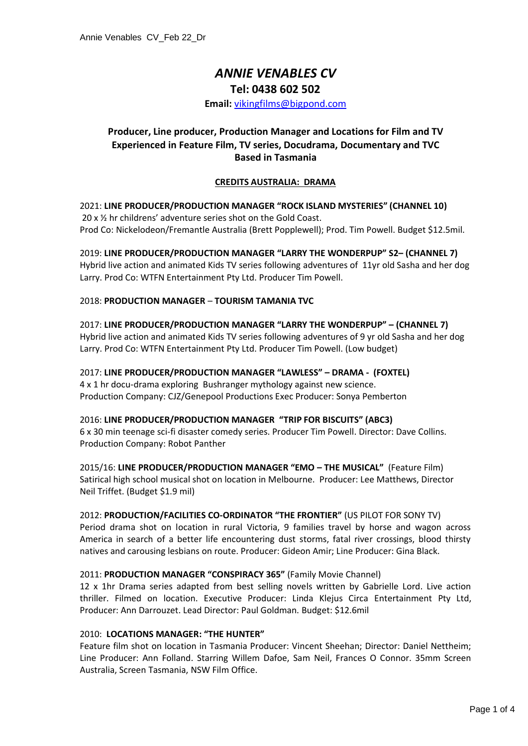# *ANNIE VENABLES CV*

# **Tel: 0438 602 502**

**Email:** [vikingfilms@bigpond.com](mailto:vikingfilms@bigpond.com)

# **Producer, Line producer, Production Manager and Locations for Film and TV Experienced in Feature Film, TV series, Docudrama, Documentary and TVC Based in Tasmania**

# **CREDITS AUSTRALIA: DRAMA**

# 2021: **LINE PRODUCER/PRODUCTION MANAGER "ROCK ISLAND MYSTERIES" (CHANNEL 10)**  20 x ½ hr childrens' adventure series shot on the Gold Coast. Prod Co: Nickelodeon/Fremantle Australia (Brett Popplewell); Prod. Tim Powell. Budget \$12.5mil.

2019: **LINE PRODUCER/PRODUCTION MANAGER "LARRY THE WONDERPUP" S2– (CHANNEL 7)** Hybrid live action and animated Kids TV series following adventures of 11yr old Sasha and her dog Larry. Prod Co: WTFN Entertainment Pty Ltd. Producer Tim Powell.

#### 2018: **PRODUCTION MANAGER** – **TOURISM TAMANIA TVC**

2017: **LINE PRODUCER/PRODUCTION MANAGER "LARRY THE WONDERPUP" – (CHANNEL 7)** Hybrid live action and animated Kids TV series following adventures of 9 yr old Sasha and her dog Larry. Prod Co: WTFN Entertainment Pty Ltd. Producer Tim Powell. (Low budget)

# 2017: **LINE PRODUCER/PRODUCTION MANAGER "LAWLESS" – DRAMA - (FOXTEL)** 4 x 1 hr docu-drama exploring Bushranger mythology against new science. Production Company: CJZ/Genepool Productions Exec Producer: Sonya Pemberton

2016: **LINE PRODUCER/PRODUCTION MANAGER "TRIP FOR BISCUITS" (ABC3)**  6 x 30 min teenage sci-fi disaster comedy series. Producer Tim Powell. Director: Dave Collins. Production Company: Robot Panther

2015/16: **LINE PRODUCER/PRODUCTION MANAGER "EMO – THE MUSICAL"** (Feature Film) Satirical high school musical shot on location in Melbourne. Producer: Lee Matthews, Director Neil Triffet. (Budget \$1.9 mil)

#### 2012: **PRODUCTION/FACILITIES CO-ORDINATOR "THE FRONTIER"** (US PILOT FOR SONY TV)

Period drama shot on location in rural Victoria, 9 families travel by horse and wagon across America in search of a better life encountering dust storms, fatal river crossings, blood thirsty natives and carousing lesbians on route. Producer: Gideon Amir; Line Producer: Gina Black.

#### 2011: **PRODUCTION MANAGER "CONSPIRACY 365"** (Family Movie Channel)

12 x 1hr Drama series adapted from best selling novels written by Gabrielle Lord. Live action thriller. Filmed on location. Executive Producer: Linda Klejus Circa Entertainment Pty Ltd, Producer: Ann Darrouzet. Lead Director: Paul Goldman. Budget: \$12.6mil

#### 2010: **LOCATIONS MANAGER: "THE HUNTER"**

Feature film shot on location in Tasmania Producer: Vincent Sheehan; Director: Daniel Nettheim; Line Producer: Ann Folland. Starring Willem Dafoe, Sam Neil, Frances O Connor. 35mm Screen Australia, Screen Tasmania, NSW Film Office.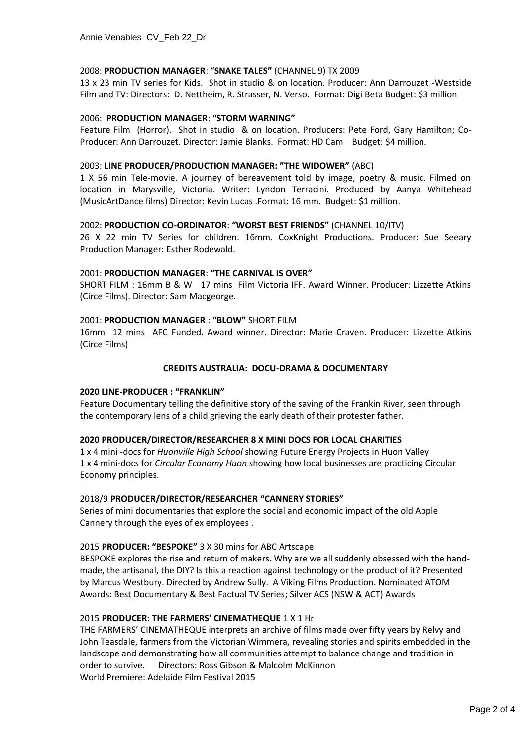#### 2008: **PRODUCTION MANAGER**: "**SNAKE TALES"** (CHANNEL 9) TX 2009

13 x 23 min TV series for Kids. Shot in studio & on location. Producer: Ann Darrouzet -Westside Film and TV: Directors: D. Nettheim, R. Strasser, N. Verso. Format: Digi Beta Budget: \$3 million

#### 2006: **PRODUCTION MANAGER**: **"STORM WARNING"**

Feature Film (Horror). Shot in studio & on location. Producers: Pete Ford, Gary Hamilton; Co-Producer: Ann Darrouzet. Director: Jamie Blanks. Format: HD Cam Budget: \$4 million.

#### 2003: **LINE PRODUCER/PRODUCTION MANAGER: "THE WIDOWER"** (ABC)

1 X 56 min Tele-movie. A journey of bereavement told by image, poetry & music. Filmed on location in Marysville, Victoria. Writer: Lyndon Terracini. Produced by Aanya Whitehead (MusicArtDance films) Director: Kevin Lucas .Format: 16 mm. Budget: \$1 million.

#### 2002: **PRODUCTION CO-ORDINATOR**: **"WORST BEST FRIENDS"** (CHANNEL 10/ITV)

26 X 22 min TV Series for children. 16mm. CoxKnight Productions. Producer: Sue Seeary Production Manager: Esther Rodewald.

#### 2001: **PRODUCTION MANAGER**: **"THE CARNIVAL IS OVER"**

SHORT FILM : 16mm B & W 17 mins Film Victoria IFF. Award Winner. Producer: Lizzette Atkins (Circe Films). Director: Sam Macgeorge.

#### 2001: **PRODUCTION MANAGER** : **"BLOW"** SHORT FILM

16mm 12 mins AFC Funded. Award winner. Director: Marie Craven. Producer: Lizzette Atkins (Circe Films)

# **CREDITS AUSTRALIA: DOCU-DRAMA & DOCUMENTARY**

#### **2020 LINE-PRODUCER : "FRANKLIN"**

Feature Documentary telling the definitive story of the saving of the Frankin River, seen through the contemporary lens of a child grieving the early death of their protester father.

#### **2020 PRODUCER/DIRECTOR/RESEARCHER 8 X MINI DOCS FOR LOCAL CHARITIES**

1 x 4 mini -docs for *Huonville High School* showing Future Energy Projects in Huon Valley 1 x 4 mini-docs for *Circular Economy Huon* showing how local businesses are practicing Circular Economy principles.

#### 2018/9 **PRODUCER/DIRECTOR/RESEARCHER "CANNERY STORIES"**

Series of mini documentaries that explore the social and economic impact of the old Apple Cannery through the eyes of ex employees .

# 2015 **PRODUCER: "BESPOKE"** 3 X 30 mins for ABC Artscape

BESPOKE explores the rise and return of makers. Why are we all suddenly obsessed with the handmade, the artisanal, the DIY? Is this a reaction against technology or the product of it? Presented by Marcus Westbury. Directed by Andrew Sully. A Viking Films Production. Nominated ATOM Awards: Best Documentary & Best Factual TV Series; Silver ACS (NSW & ACT) Awards

#### 2015 **PRODUCER: THE FARMERS' CINEMATHEQUE** 1 X 1 Hr

THE FARMERS' CINEMATHEQUE interprets an archive of films made over fifty years by Relvy and John Teasdale, farmers from the Victorian Wimmera, revealing stories and spirits embedded in the landscape and demonstrating how all communities attempt to balance change and tradition in order to survive. Directors: Ross Gibson & Malcolm McKinnon World Premiere: Adelaide Film Festival 2015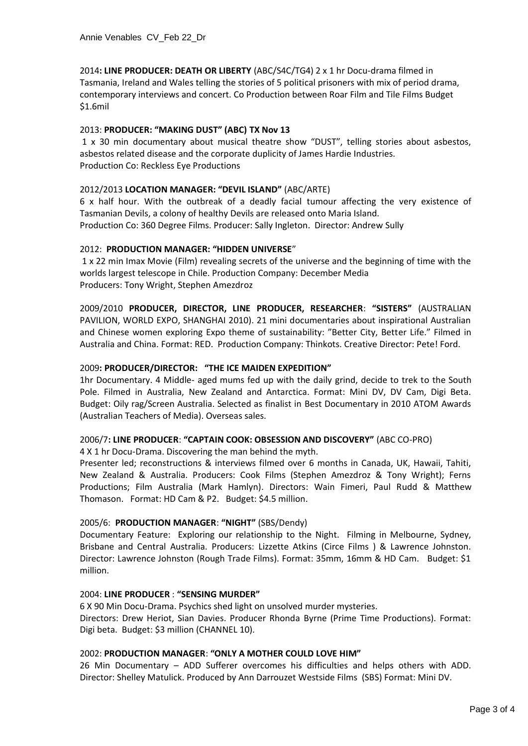2014**: LINE PRODUCER: DEATH OR LIBERTY** (ABC/S4C/TG4) 2 x 1 hr Docu-drama filmed in Tasmania, Ireland and Wales telling the stories of 5 political prisoners with mix of period drama, contemporary interviews and concert. Co Production between Roar Film and Tile Films Budget \$1.6mil

# 2013: **PRODUCER: "MAKING DUST" (ABC) TX Nov 13**

1 x 30 min documentary about musical theatre show "DUST", telling stories about asbestos, asbestos related disease and the corporate duplicity of James Hardie Industries. Production Co: Reckless Eye Productions

# 2012/2013 **LOCATION MANAGER: "DEVIL ISLAND"** (ABC/ARTE)

6 x half hour. With the outbreak of a deadly facial tumour affecting the very existence of Tasmanian Devils, a colony of healthy Devils are released onto Maria Island. Production Co: 360 Degree Films. Producer: Sally Ingleton. Director: Andrew Sully

# 2012: **PRODUCTION MANAGER: "HIDDEN UNIVERSE**"

1 x 22 min Imax Movie (Film) revealing secrets of the universe and the beginning of time with the worlds largest telescope in Chile. Production Company: December Media Producers: Tony Wright, Stephen Amezdroz

2009/2010 **PRODUCER, DIRECTOR, LINE PRODUCER, RESEARCHER**: **"SISTERS"** (AUSTRALIAN PAVILION, WORLD EXPO, SHANGHAI 2010). 21 mini documentaries about inspirational Australian and Chinese women exploring Expo theme of sustainability: "Better City, Better Life." Filmed in Australia and China. Format: RED. Production Company: Thinkots. Creative Director: Pete! Ford.

# 2009**: PRODUCER/DIRECTOR: "THE ICE MAIDEN EXPEDITION"**

1hr Documentary. 4 Middle- aged mums fed up with the daily grind, decide to trek to the South Pole. Filmed in Australia, New Zealand and Antarctica. Format: Mini DV, DV Cam, Digi Beta. Budget: Oily rag/Screen Australia. Selected as finalist in Best Documentary in 2010 ATOM Awards (Australian Teachers of Media). Overseas sales.

#### 2006/7**: LINE PRODUCER**: **"CAPTAIN COOK: OBSESSION AND DISCOVERY"** (ABC CO-PRO)

4 X 1 hr Docu-Drama. Discovering the man behind the myth.

Presenter led; reconstructions & interviews filmed over 6 months in Canada, UK, Hawaii, Tahiti, New Zealand & Australia. Producers: Cook Films (Stephen Amezdroz & Tony Wright); Ferns Productions; Film Australia (Mark Hamlyn). Directors: Wain Fimeri, Paul Rudd & Matthew Thomason. Format: HD Cam & P2. Budget: \$4.5 million.

#### 2005/6: **PRODUCTION MANAGER**: **"NIGHT"** (SBS/Dendy)

Documentary Feature: Exploring our relationship to the Night. Filming in Melbourne, Sydney, Brisbane and Central Australia. Producers: Lizzette Atkins (Circe Films ) & Lawrence Johnston. Director: Lawrence Johnston (Rough Trade Films). Format: 35mm, 16mm & HD Cam. Budget: \$1 million.

#### 2004: **LINE PRODUCER** : **"SENSING MURDER"**

6 X 90 Min Docu-Drama. Psychics shed light on unsolved murder mysteries. Directors: Drew Heriot, Sian Davies. Producer Rhonda Byrne (Prime Time Productions). Format: Digi beta. Budget: \$3 million (CHANNEL 10).

#### 2002: **PRODUCTION MANAGER**: **"ONLY A MOTHER COULD LOVE HIM"**

26 Min Documentary – ADD Sufferer overcomes his difficulties and helps others with ADD. Director: Shelley Matulick. Produced by Ann Darrouzet Westside Films (SBS) Format: Mini DV.